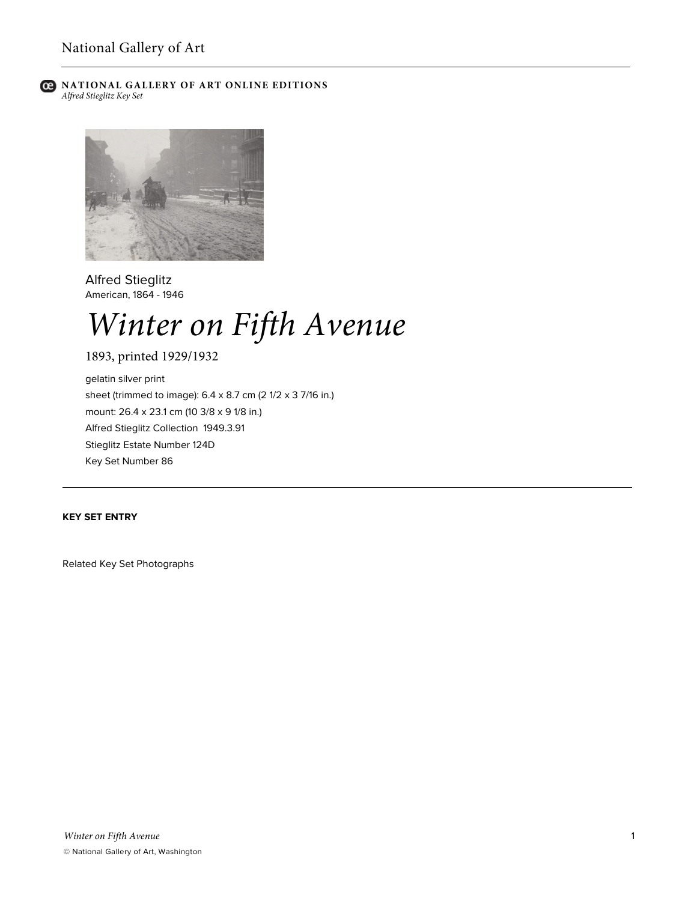

# **C** NATIONAL GALLERY OF ART ONLINE EDITIONS *Alfred Stieglitz Key Set*



Alfred Stieglitz American, 1864 - 1946

# *Winter on Fifth Avenue*

1893, printed 1929/1932

gelatin silver print sheet (trimmed to image): 6.4 x 8.7 cm (2 1/2 x 3 7/16 in.) mount: 26.4 x 23.1 cm (10 3/8 x 9 1/8 in.) Alfred Stieglitz Collection 1949.3.91 Stieglitz Estate Number 124D Key Set Number 86

# **KEY SET ENTRY**

Related Key Set Photographs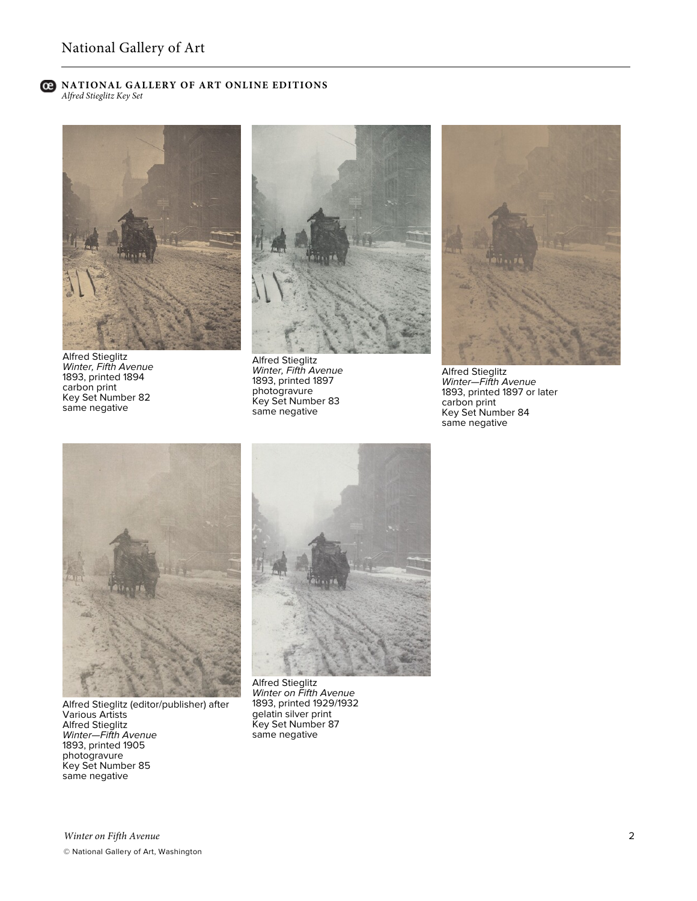#### **C** NATIONAL GALLERY OF ART ONLINE EDITIONS *Alfred Stieglitz Key Set*



Alfred Stieglitz *Winter, Fifth Avenue* 1893, printed 1894 carbon print Key Set Number 82 same negative



Alfred Stieglitz *Winter, Fifth Avenue* 1893, printed 1897 photogravure Key Set Number 83 same negative



Alfred Stieglitz *Winter—Fifth Avenue* 1893, printed 1897 or later carbon print Key Set Number 84 same negative



Alfred Stieglitz (editor/publisher) after Various Artists Alfred Stieglitz *Winter—Fifth Avenue* 1893, printed 1905 photogravure Key Set Number 85 same negative



Alfred Stieglitz *Winter on Fifth Avenue* 1893, printed 1929/1932 gelatin silver print Key Set Number 87 same negative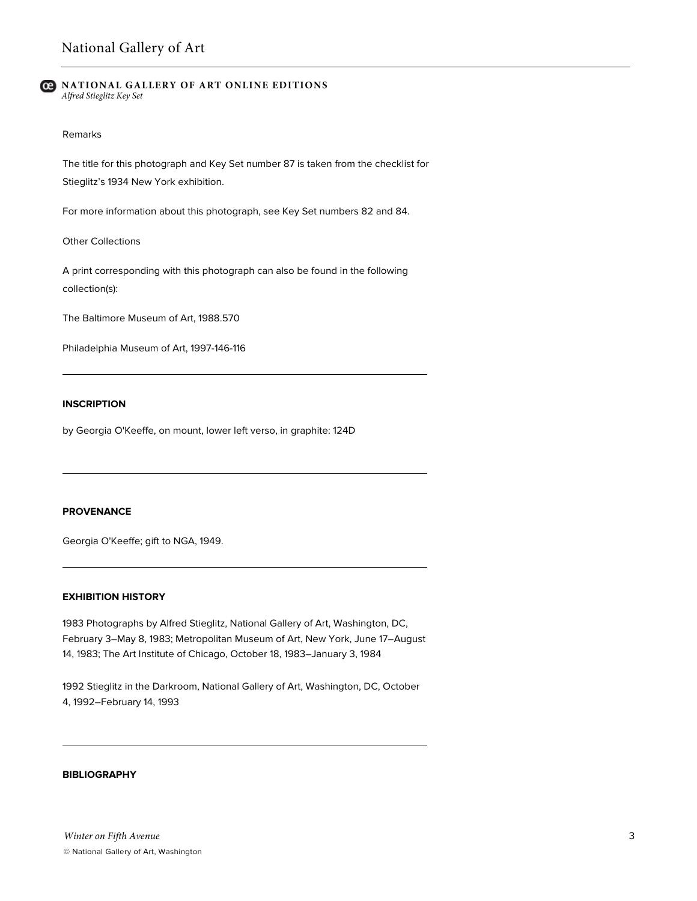#### **NATIONAL GALLERY OF ART ONLINE EDITIONS** *Alfred Stieglitz Key Set*

#### Remarks

The title for this photograph and Key Set number 87 is taken from the checklist for Stieglitz's 1934 New York exhibition.

For more information about this photograph, see Key Set numbers 82 and 84.

Other Collections

A print corresponding with this photograph can also be found in the following collection(s):

The Baltimore Museum of Art, 1988.570

Philadelphia Museum of Art, 1997-146-116

### **INSCRIPTION**

by Georgia O'Keeffe, on mount, lower left verso, in graphite: 124D

#### **PROVENANCE**

Georgia O'Keeffe; gift to NGA, 1949.

### **EXHIBITION HISTORY**

1983 Photographs by Alfred Stieglitz, National Gallery of Art, Washington, DC, February 3–May 8, 1983; Metropolitan Museum of Art, New York, June 17–August 14, 1983; The Art Institute of Chicago, October 18, 1983–January 3, 1984

1992 Stieglitz in the Darkroom, National Gallery of Art, Washington, DC, October 4, 1992–February 14, 1993

## **BIBLIOGRAPHY**